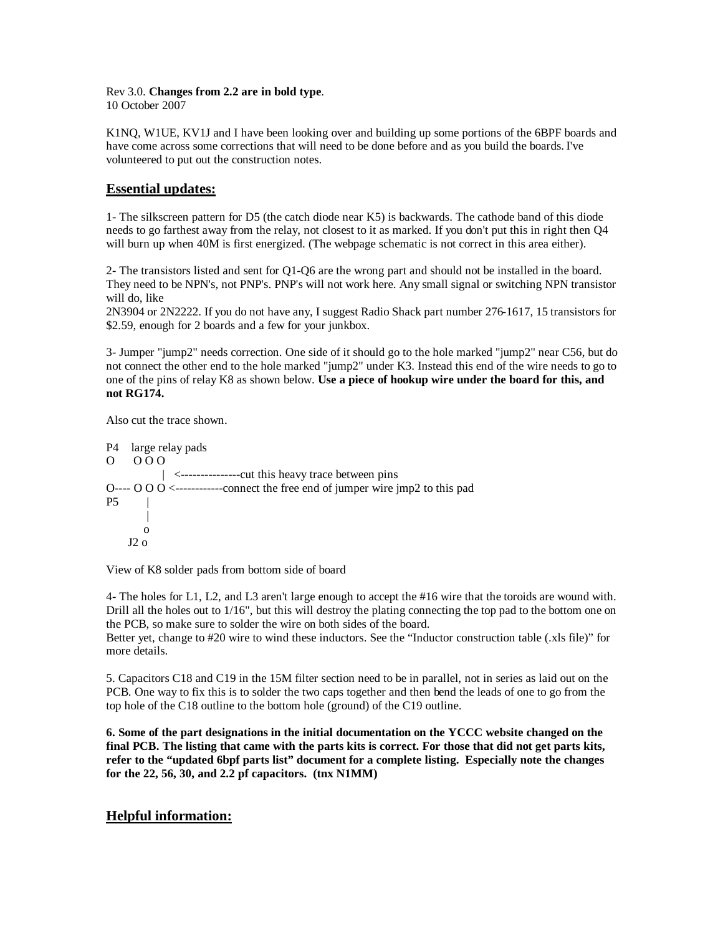## Rev 3.0. **Changes from 2.2 are in bold type**. 10 October 2007

K1NQ, W1UE, KV1J and I have been looking over and building up some portions of the 6BPF boards and have come across some corrections that will need to be done before and as you build the boards. I've volunteered to put out the construction notes.

## **Essential updates:**

1- The silkscreen pattern for D5 (the catch diode near K5) is backwards. The cathode band of this diode needs to go farthest away from the relay, not closest to it as marked. If you don't put this in right then Q4 will burn up when 40M is first energized. (The webpage schematic is not correct in this area either).

2- The transistors listed and sent for Q1-Q6 are the wrong part and should not be installed in the board. They need to be NPN's, not PNP's. PNP's will not work here. Any small signal or switching NPN transistor will do, like

2N3904 or 2N2222. If you do not have any, I suggest Radio Shack part number 276-1617, 15 transistors for \$2.59, enough for 2 boards and a few for your junkbox.

3- Jumper "jump2" needs correction. One side of it should go to the hole marked "jump2" near C56, but do not connect the other end to the hole marked "jump2" under K3. Instead this end of the wire needs to go to one of the pins of relay K8 as shown below. **Use a piece of hookup wire under the board for this, and not RG174.** 

Also cut the trace shown.

P4 large relay pads O O O O | <---------------cut this heavy trace between pins O----  $\overline{O}$  O  $\overline{O}$   $\leq$   $\cdots$ -----------connect the free end of jumper wire jmp2 to this pad  $P<sub>5</sub>$ || || || || || o  $J2$  o

View of K8 solder pads from bottom side of board

4- The holes for L1, L2, and L3 aren't large enough to accept the #16 wire that the toroids are wound with. Drill all the holes out to 1/16", but this will destroy the plating connecting the top pad to the bottom one on the PCB, so make sure to solder the wire on both sides of the board.

Better yet, change to #20 wire to wind these inductors. See the "Inductor construction table (.xls file)" for more details.

5. Capacitors C18 and C19 in the 15M filter section need to be in parallel, not in series as laid out on the PCB. One way to fix this is to solder the two caps together and then bend the leads of one to go from the top hole of the C18 outline to the bottom hole (ground) of the C19 outline.

**6. Some of the part designations in the initial documentation on the YCCC website changed on the final PCB. The listing that came with the parts kits is correct. For those that did not get parts kits, refer to the "updated 6bpf parts list" document for a complete listing. Especially note the changes for the 22, 56, 30, and 2.2 pf capacitors. (tnx N1MM)**

## **Helpful information:**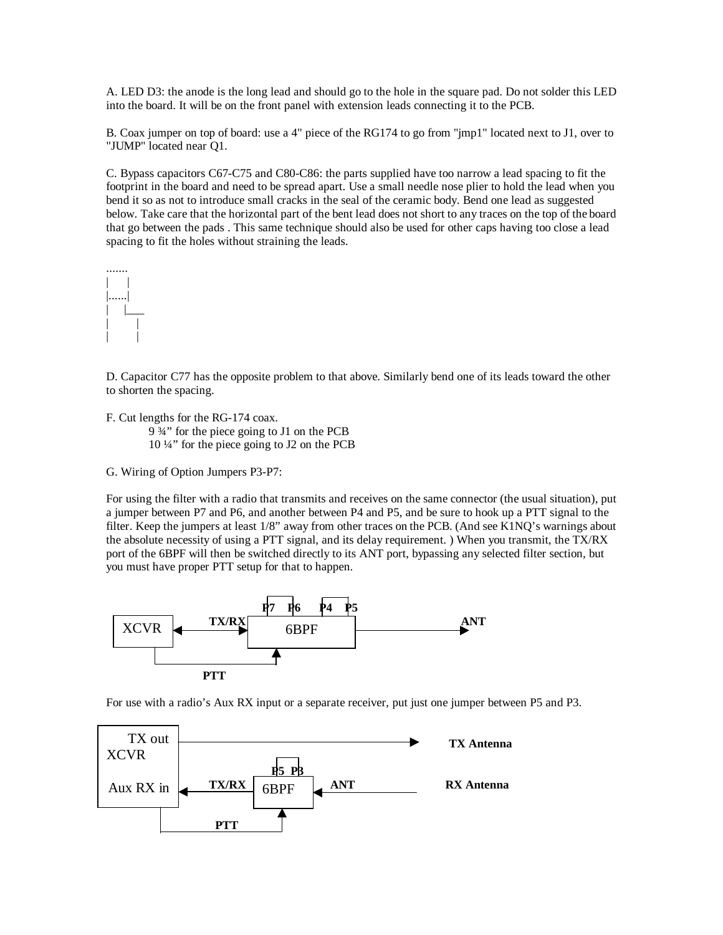A. LED D3: the anode is the long lead and should go to the hole in the square pad. Do not solder this LED into the board. It will be on the front panel with extension leads connecting it to the PCB.

B. Coax jumper on top of board: use a 4" piece of the RG174 to go from "jmp1" located next to J1, over to "JUMP" located near Q1.

C. Bypass capacitors C67-C75 and C80-C86: the parts supplied have too narrow a lead spacing to fit the footprint in the board and need to be spread apart. Use a small needle nose plier to hold the lead when you bend it so as not to introduce small cracks in the seal of the ceramic body. Bend one lead as suggested below. Take care that the horizontal part of the bent lead does not short to any traces on the top of the board that go between the pads . This same technique should also be used for other caps having too close a lead spacing to fit the holes without straining the leads.



D. Capacitor C77 has the opposite problem to that above. Similarly bend one of its leads toward the other to shorten the spacing.

F. Cut lengths for the RG-174 coax. 9 ¾" for the piece going to J1 on the PCB 10 ¼" for the piece going to J2 on the PCB

G. Wiring of Option Jumpers P3-P7:

For using the filter with a radio that transmits and receives on the same connector (the usual situation), put a jumper between P7 and P6, and another between P4 and P5, and be sure to hook up a PTT signal to the filter. Keep the jumpers at least 1/8" away from other traces on the PCB. (And see K1NQ's warnings about the absolute necessity of using a PTT signal, and its delay requirement. ) When you transmit, the TX/RX port of the 6BPF will then be switched directly to its ANT port, bypassing any selected filter section, but you must have proper PTT setup for that to happen.



For use with a radio's Aux RX input or a separate receiver, put just one jumper between P5 and P3.